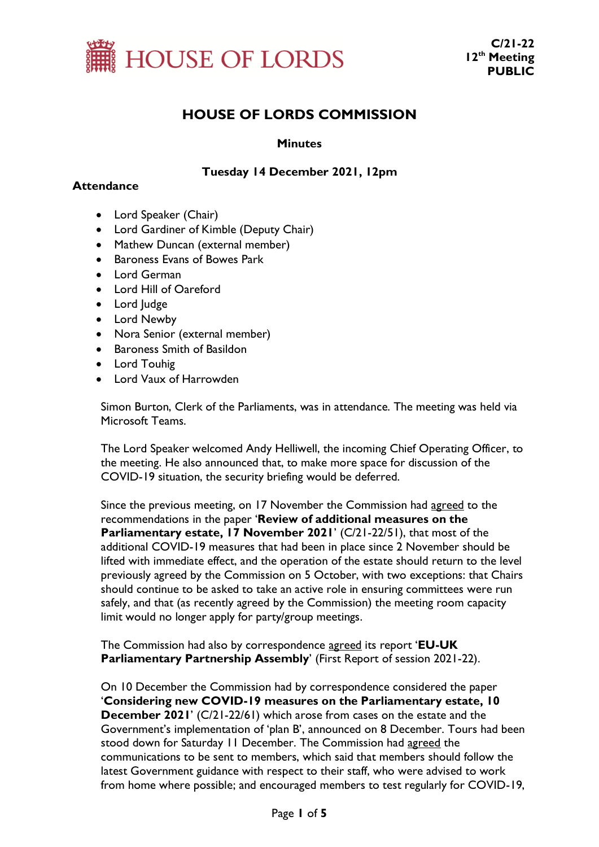

# **HOUSE OF LORDS COMMISSION**

## **Minutes**

# **Tuesday 14 December 2021, 12pm**

## **Attendance**

- Lord Speaker (Chair)
- Lord Gardiner of Kimble (Deputy Chair)
- Mathew Duncan (external member)
- Baroness Evans of Bowes Park
- Lord German
- Lord Hill of Oareford
- Lord Judge
- Lord Newby
- Nora Senior (external member)
- Baroness Smith of Basildon
- Lord Touhig
- Lord Vaux of Harrowden

Simon Burton, Clerk of the Parliaments, was in attendance. The meeting was held via Microsoft Teams.

The Lord Speaker welcomed Andy Helliwell, the incoming Chief Operating Officer, to the meeting. He also announced that, to make more space for discussion of the COVID-19 situation, the security briefing would be deferred.

Since the previous meeting, on 17 November the Commission had agreed to the recommendations in the paper '**Review of additional measures on the Parliamentary estate, 17 November 2021**' (C/21-22/51), that most of the additional COVID-19 measures that had been in place since 2 November should be lifted with immediate effect, and the operation of the estate should return to the level previously agreed by the Commission on 5 October, with two exceptions: that Chairs should continue to be asked to take an active role in ensuring committees were run safely, and that (as recently agreed by the Commission) the meeting room capacity limit would no longer apply for party/group meetings.

The Commission had also by correspondence agreed its report '**EU-UK Parliamentary Partnership Assembly**' (First Report of session 2021-22).

On 10 December the Commission had by correspondence considered the paper '**Considering new COVID-19 measures on the Parliamentary estate, 10 December 2021**' (C/21-22/61) which arose from cases on the estate and the Government's implementation of 'plan B', announced on 8 December. Tours had been stood down for Saturday 11 December. The Commission had agreed the communications to be sent to members, which said that members should follow the latest Government guidance with respect to their staff, who were advised to work from home where possible; and encouraged members to test regularly for COVID-19,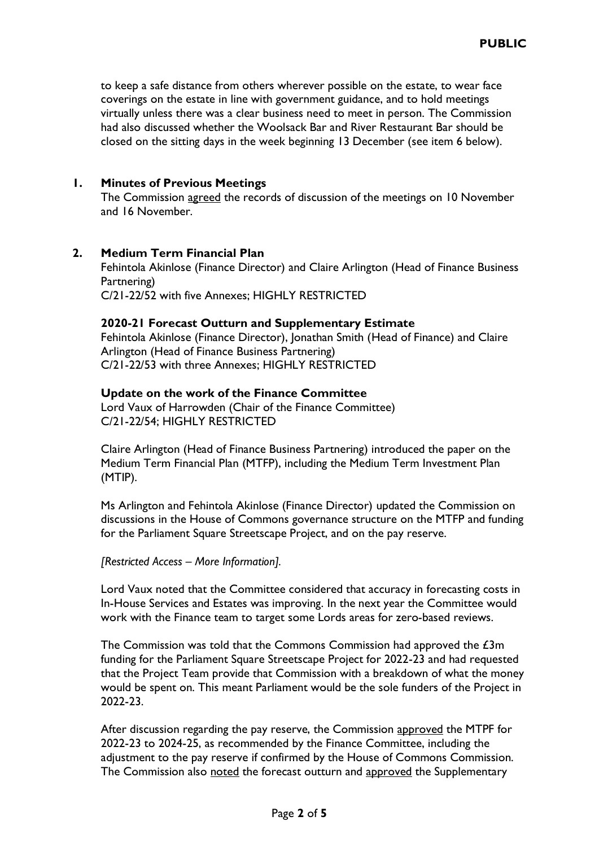to keep a safe distance from others wherever possible on the estate, to wear face coverings on the estate in line with government guidance, and to hold meetings virtually unless there was a clear business need to meet in person. The Commission had also discussed whether the Woolsack Bar and River Restaurant Bar should be closed on the sitting days in the week beginning 13 December (see item 6 below).

# **1. Minutes of Previous Meetings**

The Commission agreed the records of discussion of the meetings on 10 November and 16 November.

#### **2. Medium Term Financial Plan**

Fehintola Akinlose (Finance Director) and Claire Arlington (Head of Finance Business Partnering) C/21-22/52 with five Annexes; HIGHLY RESTRICTED

#### **2020-21 Forecast Outturn and Supplementary Estimate**

Fehintola Akinlose (Finance Director), Jonathan Smith (Head of Finance) and Claire Arlington (Head of Finance Business Partnering) C/21-22/53 with three Annexes; HIGHLY RESTRICTED

#### **Update on the work of the Finance Committee**

Lord Vaux of Harrowden (Chair of the Finance Committee) C/21-22/54; HIGHLY RESTRICTED

Claire Arlington (Head of Finance Business Partnering) introduced the paper on the Medium Term Financial Plan (MTFP), including the Medium Term Investment Plan (MTIP).

Ms Arlington and Fehintola Akinlose (Finance Director) updated the Commission on discussions in the House of Commons governance structure on the MTFP and funding for the Parliament Square Streetscape Project, and on the pay reserve.

*[Restricted Access – More Information].* 

Lord Vaux noted that the Committee considered that accuracy in forecasting costs in In-House Services and Estates was improving. In the next year the Committee would work with the Finance team to target some Lords areas for zero-based reviews.

The Commission was told that the Commons Commission had approved the  $£3m$ funding for the Parliament Square Streetscape Project for 2022-23 and had requested that the Project Team provide that Commission with a breakdown of what the money would be spent on. This meant Parliament would be the sole funders of the Project in 2022-23.

After discussion regarding the pay reserve, the Commission approved the MTPF for 2022-23 to 2024-25, as recommended by the Finance Committee, including the adjustment to the pay reserve if confirmed by the House of Commons Commission. The Commission also noted the forecast outturn and approved the Supplementary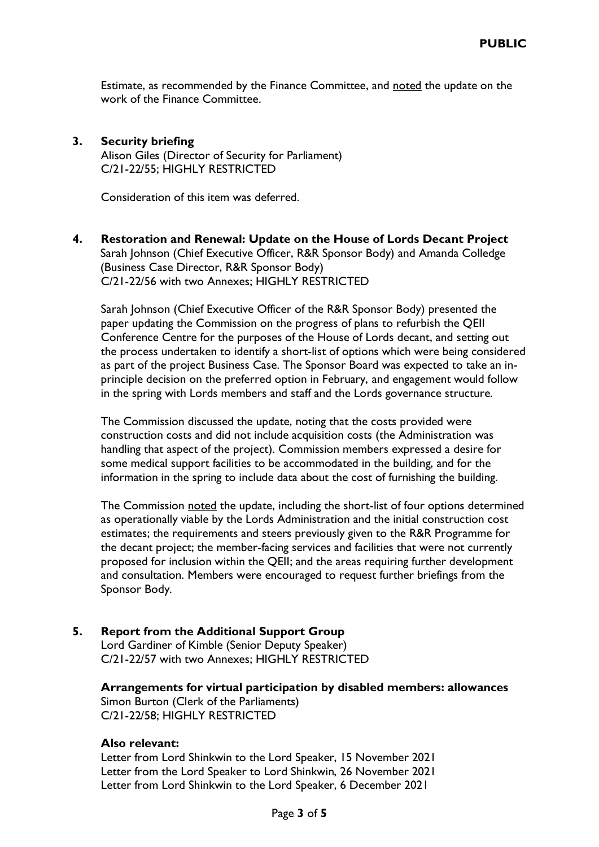Estimate, as recommended by the Finance Committee, and noted the update on the work of the Finance Committee.

#### **3. Security briefing**  Alison Giles (Director of Security for Parliament) C/21-22/55; HIGHLY RESTRICTED

Consideration of this item was deferred.

# **4. Restoration and Renewal: Update on the House of Lords Decant Project** Sarah Johnson (Chief Executive Officer, R&R Sponsor Body) and Amanda Colledge (Business Case Director, R&R Sponsor Body) C/21-22/56 with two Annexes; HIGHLY RESTRICTED

Sarah Johnson (Chief Executive Officer of the R&R Sponsor Body) presented the paper updating the Commission on the progress of plans to refurbish the QEII Conference Centre for the purposes of the House of Lords decant, and setting out the process undertaken to identify a short-list of options which were being considered as part of the project Business Case. The Sponsor Board was expected to take an inprinciple decision on the preferred option in February, and engagement would follow in the spring with Lords members and staff and the Lords governance structure.

The Commission discussed the update, noting that the costs provided were construction costs and did not include acquisition costs (the Administration was handling that aspect of the project). Commission members expressed a desire for some medical support facilities to be accommodated in the building, and for the information in the spring to include data about the cost of furnishing the building.

The Commission noted the update, including the short-list of four options determined as operationally viable by the Lords Administration and the initial construction cost estimates; the requirements and steers previously given to the R&R Programme for the decant project; the member-facing services and facilities that were not currently proposed for inclusion within the QEII; and the areas requiring further development and consultation. Members were encouraged to request further briefings from the Sponsor Body.

# **5. Report from the Additional Support Group**

Lord Gardiner of Kimble (Senior Deputy Speaker) C/21-22/57 with two Annexes; HIGHLY RESTRICTED

**Arrangements for virtual participation by disabled members: allowances** Simon Burton (Clerk of the Parliaments) C/21-22/58; HIGHLY RESTRICTED

## **Also relevant:**

Letter from Lord Shinkwin to the Lord Speaker, 15 November 2021 Letter from the Lord Speaker to Lord Shinkwin, 26 November 2021 Letter from Lord Shinkwin to the Lord Speaker, 6 December 2021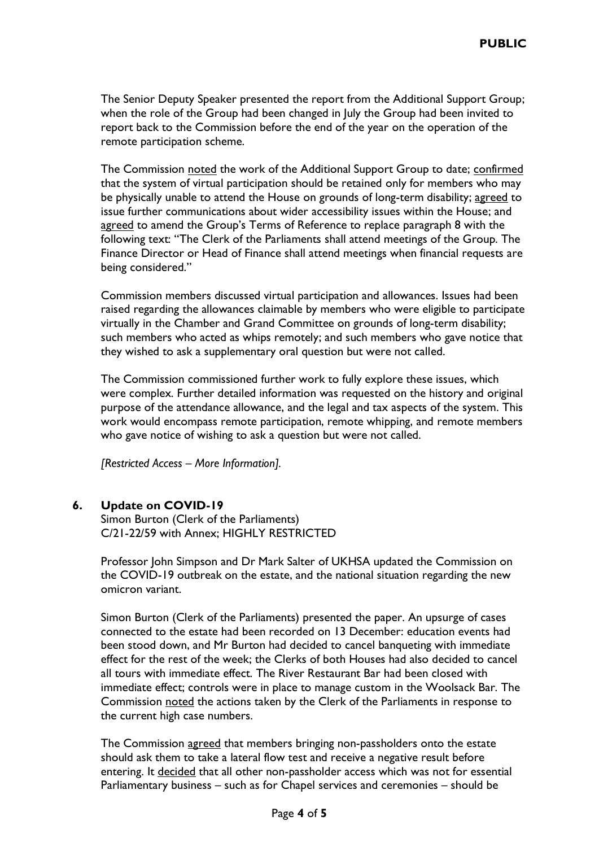The Senior Deputy Speaker presented the report from the Additional Support Group; when the role of the Group had been changed in July the Group had been invited to report back to the Commission before the end of the year on the operation of the remote participation scheme.

The Commission noted the work of the Additional Support Group to date; confirmed that the system of virtual participation should be retained only for members who may be physically unable to attend the House on grounds of long-term disability; agreed to issue further communications about wider accessibility issues within the House; and agreed to amend the Group's Terms of Reference to replace paragraph 8 with the following text: "The Clerk of the Parliaments shall attend meetings of the Group. The Finance Director or Head of Finance shall attend meetings when financial requests are being considered."

Commission members discussed virtual participation and allowances. Issues had been raised regarding the allowances claimable by members who were eligible to participate virtually in the Chamber and Grand Committee on grounds of long-term disability; such members who acted as whips remotely; and such members who gave notice that they wished to ask a supplementary oral question but were not called.

The Commission commissioned further work to fully explore these issues, which were complex. Further detailed information was requested on the history and original purpose of the attendance allowance, and the legal and tax aspects of the system. This work would encompass remote participation, remote whipping, and remote members who gave notice of wishing to ask a question but were not called.

*[Restricted Access – More Information].* 

# **6. Update on COVID-19**

Simon Burton (Clerk of the Parliaments) C/21-22/59 with Annex; HIGHLY RESTRICTED

Professor John Simpson and Dr Mark Salter of UKHSA updated the Commission on the COVID-19 outbreak on the estate, and the national situation regarding the new omicron variant.

Simon Burton (Clerk of the Parliaments) presented the paper. An upsurge of cases connected to the estate had been recorded on 13 December: education events had been stood down, and Mr Burton had decided to cancel banqueting with immediate effect for the rest of the week; the Clerks of both Houses had also decided to cancel all tours with immediate effect. The River Restaurant Bar had been closed with immediate effect; controls were in place to manage custom in the Woolsack Bar. The Commission noted the actions taken by the Clerk of the Parliaments in response to the current high case numbers.

The Commission agreed that members bringing non-passholders onto the estate should ask them to take a lateral flow test and receive a negative result before entering. It decided that all other non-passholder access which was not for essential Parliamentary business – such as for Chapel services and ceremonies – should be